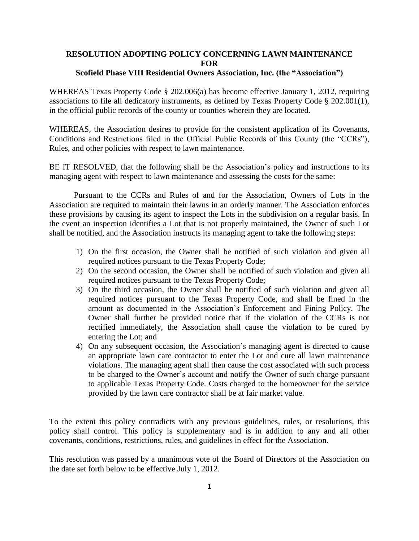## **RESOLUTION ADOPTING POLICY CONCERNING LAWN MAINTENANCE FOR**

## **Scofield Phase VIII Residential Owners Association, Inc. (the "Association")**

WHEREAS Texas Property Code § 202.006(a) has become effective January 1, 2012, requiring associations to file all dedicatory instruments, as defined by Texas Property Code § 202.001(1), in the official public records of the county or counties wherein they are located.

WHEREAS, the Association desires to provide for the consistent application of its Covenants, Conditions and Restrictions filed in the Official Public Records of this County (the "CCRs"), Rules, and other policies with respect to lawn maintenance.

BE IT RESOLVED, that the following shall be the Association's policy and instructions to its managing agent with respect to lawn maintenance and assessing the costs for the same:

Pursuant to the CCRs and Rules of and for the Association, Owners of Lots in the Association are required to maintain their lawns in an orderly manner. The Association enforces these provisions by causing its agent to inspect the Lots in the subdivision on a regular basis. In the event an inspection identifies a Lot that is not properly maintained, the Owner of such Lot shall be notified, and the Association instructs its managing agent to take the following steps:

- 1) On the first occasion, the Owner shall be notified of such violation and given all required notices pursuant to the Texas Property Code;
- 2) On the second occasion, the Owner shall be notified of such violation and given all required notices pursuant to the Texas Property Code;
- 3) On the third occasion, the Owner shall be notified of such violation and given all required notices pursuant to the Texas Property Code, and shall be fined in the amount as documented in the Association's Enforcement and Fining Policy. The Owner shall further be provided notice that if the violation of the CCRs is not rectified immediately, the Association shall cause the violation to be cured by entering the Lot; and
- 4) On any subsequent occasion, the Association's managing agent is directed to cause an appropriate lawn care contractor to enter the Lot and cure all lawn maintenance violations. The managing agent shall then cause the cost associated with such process to be charged to the Owner's account and notify the Owner of such charge pursuant to applicable Texas Property Code. Costs charged to the homeowner for the service provided by the lawn care contractor shall be at fair market value.

To the extent this policy contradicts with any previous guidelines, rules, or resolutions, this policy shall control. This policy is supplementary and is in addition to any and all other covenants, conditions, restrictions, rules, and guidelines in effect for the Association.

This resolution was passed by a unanimous vote of the Board of Directors of the Association on the date set forth below to be effective July 1, 2012.